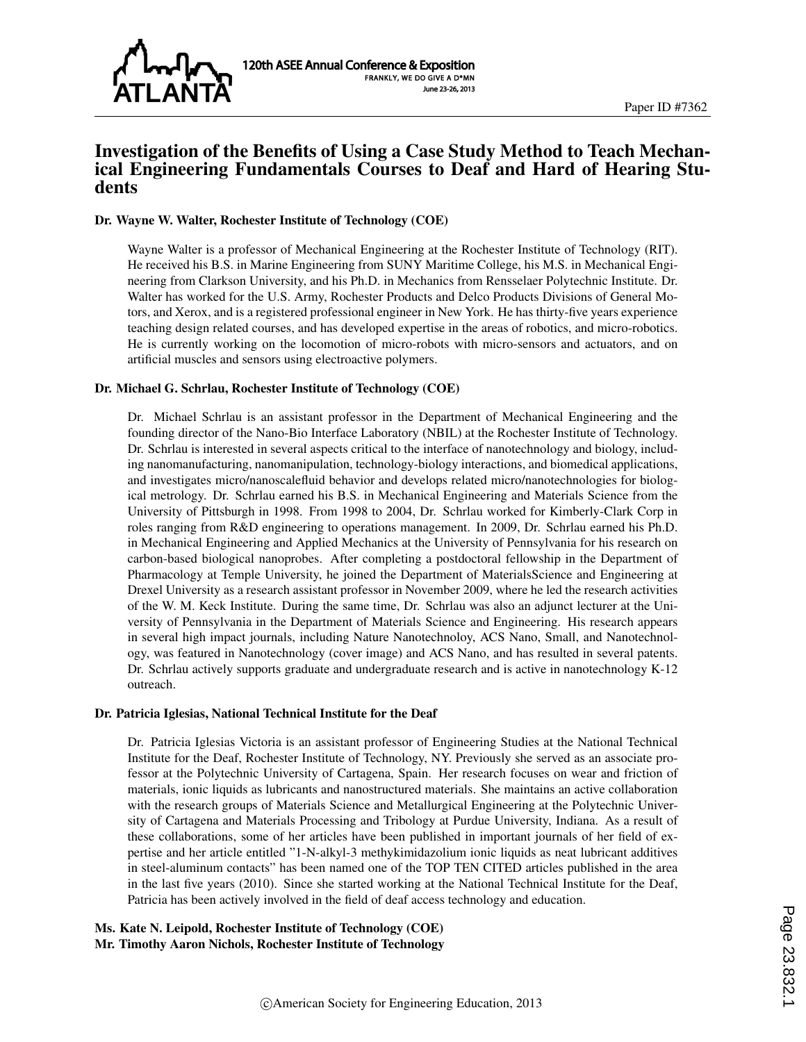

# Investigation of the Benefits of Using a Case Study Method to Teach Mechanical Engineering Fundamentals Courses to Deaf and Hard of Hearing Students

#### Dr. Wayne W. Walter, Rochester Institute of Technology (COE)

Wayne Walter is a professor of Mechanical Engineering at the Rochester Institute of Technology (RIT). He received his B.S. in Marine Engineering from SUNY Maritime College, his M.S. in Mechanical Engineering from Clarkson University, and his Ph.D. in Mechanics from Rensselaer Polytechnic Institute. Dr. Walter has worked for the U.S. Army, Rochester Products and Delco Products Divisions of General Motors, and Xerox, and is a registered professional engineer in New York. He has thirty-five years experience teaching design related courses, and has developed expertise in the areas of robotics, and micro-robotics. He is currently working on the locomotion of micro-robots with micro-sensors and actuators, and on artificial muscles and sensors using electroactive polymers.

#### Dr. Michael G. Schrlau, Rochester Institute of Technology (COE)

Dr. Michael Schrlau is an assistant professor in the Department of Mechanical Engineering and the founding director of the Nano-Bio Interface Laboratory (NBIL) at the Rochester Institute of Technology. Dr. Schrlau is interested in several aspects critical to the interface of nanotechnology and biology, including nanomanufacturing, nanomanipulation, technology-biology interactions, and biomedical applications, and investigates micro/nanoscalefluid behavior and develops related micro/nanotechnologies for biological metrology. Dr. Schrlau earned his B.S. in Mechanical Engineering and Materials Science from the University of Pittsburgh in 1998. From 1998 to 2004, Dr. Schrlau worked for Kimberly-Clark Corp in roles ranging from R&D engineering to operations management. In 2009, Dr. Schrlau earned his Ph.D. in Mechanical Engineering and Applied Mechanics at the University of Pennsylvania for his research on carbon-based biological nanoprobes. After completing a postdoctoral fellowship in the Department of Pharmacology at Temple University, he joined the Department of MaterialsScience and Engineering at Drexel University as a research assistant professor in November 2009, where he led the research activities of the W. M. Keck Institute. During the same time, Dr. Schrlau was also an adjunct lecturer at the University of Pennsylvania in the Department of Materials Science and Engineering. His research appears in several high impact journals, including Nature Nanotechnoloy, ACS Nano, Small, and Nanotechnology, was featured in Nanotechnology (cover image) and ACS Nano, and has resulted in several patents. Dr. Schrlau actively supports graduate and undergraduate research and is active in nanotechnology K-12 outreach.

#### Dr. Patricia Iglesias, National Technical Institute for the Deaf

Dr. Patricia Iglesias Victoria is an assistant professor of Engineering Studies at the National Technical Institute for the Deaf, Rochester Institute of Technology, NY. Previously she served as an associate professor at the Polytechnic University of Cartagena, Spain. Her research focuses on wear and friction of materials, ionic liquids as lubricants and nanostructured materials. She maintains an active collaboration with the research groups of Materials Science and Metallurgical Engineering at the Polytechnic University of Cartagena and Materials Processing and Tribology at Purdue University, Indiana. As a result of these collaborations, some of her articles have been published in important journals of her field of expertise and her article entitled "1-N-alkyl-3 methykimidazolium ionic liquids as neat lubricant additives in steel-aluminum contacts" has been named one of the TOP TEN CITED articles published in the area in the last five years (2010). Since she started working at the National Technical Institute for the Deaf, Patricia has been actively involved in the field of deaf access technology and education.

Ms. Kate N. Leipold, Rochester Institute of Technology (COE) Mr. Timothy Aaron Nichols, Rochester Institute of Technology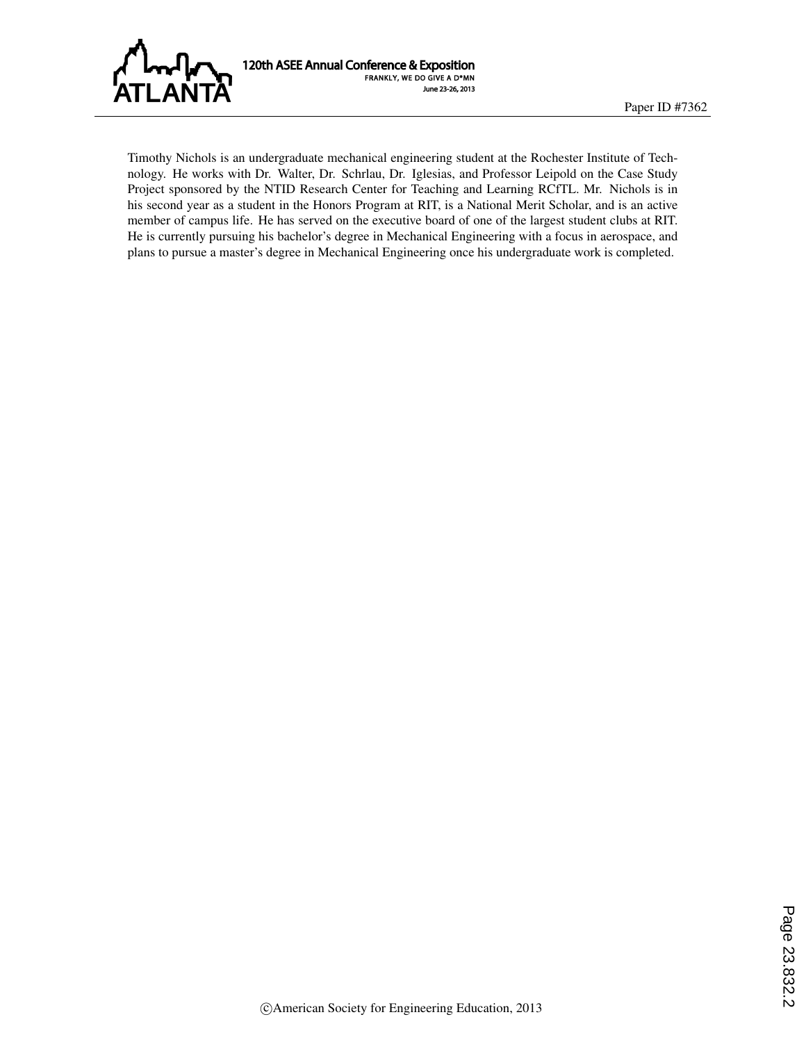

120th ASEE Annual Conference & Exposition FRANKLY, WE DO GIVE A D\*MN June 23-26, 2013

Timothy Nichols is an undergraduate mechanical engineering student at the Rochester Institute of Technology. He works with Dr. Walter, Dr. Schrlau, Dr. Iglesias, and Professor Leipold on the Case Study Project sponsored by the NTID Research Center for Teaching and Learning RCfTL. Mr. Nichols is in his second year as a student in the Honors Program at RIT, is a National Merit Scholar, and is an active member of campus life. He has served on the executive board of one of the largest student clubs at RIT. He is currently pursuing his bachelor's degree in Mechanical Engineering with a focus in aerospace, and plans to pursue a master's degree in Mechanical Engineering once his undergraduate work is completed.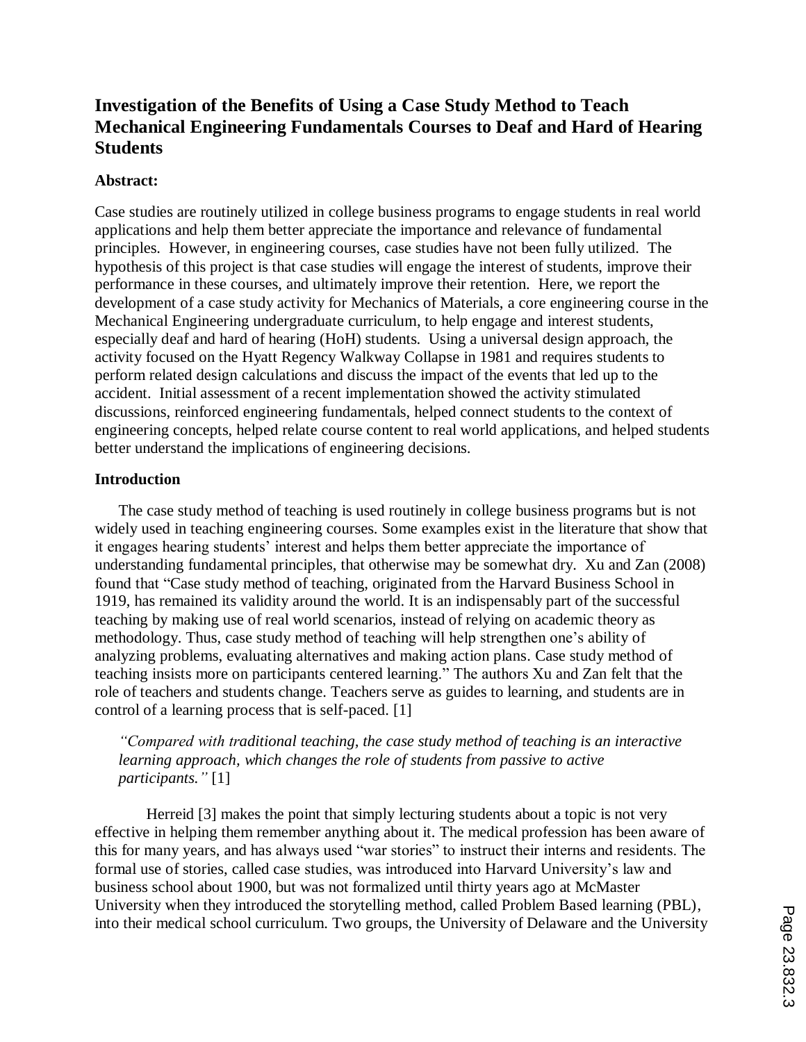# **Investigation of the Benefits of Using a Case Study Method to Teach Mechanical Engineering Fundamentals Courses to Deaf and Hard of Hearing Students**

## **Abstract:**

Case studies are routinely utilized in college business programs to engage students in real world applications and help them better appreciate the importance and relevance of fundamental principles. However, in engineering courses, case studies have not been fully utilized. The hypothesis of this project is that case studies will engage the interest of students, improve their performance in these courses, and ultimately improve their retention. Here, we report the development of a case study activity for Mechanics of Materials, a core engineering course in the Mechanical Engineering undergraduate curriculum, to help engage and interest students, especially deaf and hard of hearing (HoH) students. Using a universal design approach, the activity focused on the Hyatt Regency Walkway Collapse in 1981 and requires students to perform related design calculations and discuss the impact of the events that led up to the accident. Initial assessment of a recent implementation showed the activity stimulated discussions, reinforced engineering fundamentals, helped connect students to the context of engineering concepts, helped relate course content to real world applications, and helped students better understand the implications of engineering decisions.

### **Introduction**

The case study method of teaching is used routinely in college business programs but is not widely used in teaching engineering courses. Some examples exist in the literature that show that it engages hearing students' interest and helps them better appreciate the importance of understanding fundamental principles, that otherwise may be somewhat dry. Xu and Zan (2008) found that "Case study method of teaching, originated from the Harvard Business School in 1919, has remained its validity around the world. It is an indispensably part of the successful teaching by making use of real world scenarios, instead of relying on academic theory as methodology. Thus, case study method of teaching will help strengthen one's ability of analyzing problems, evaluating alternatives and making action plans. Case study method of teaching insists more on participants centered learning." The authors Xu and Zan felt that the role of teachers and students change. Teachers serve as guides to learning, and students are in control of a learning process that is self-paced. [1]

*"Compared with traditional teaching, the case study method of teaching is an interactive learning approach, which changes the role of students from passive to active participants."* [1]

Herreid [3] makes the point that simply lecturing students about a topic is not very effective in helping them remember anything about it. The medical profession has been aware of this for many years, and has always used "war stories" to instruct their interns and residents. The formal use of stories, called case studies, was introduced into Harvard University's law and business school about 1900, but was not formalized until thirty years ago at McMaster University when they introduced the storytelling method, called Problem Based learning (PBL), into their medical school curriculum. Two groups, the University of Delaware and the University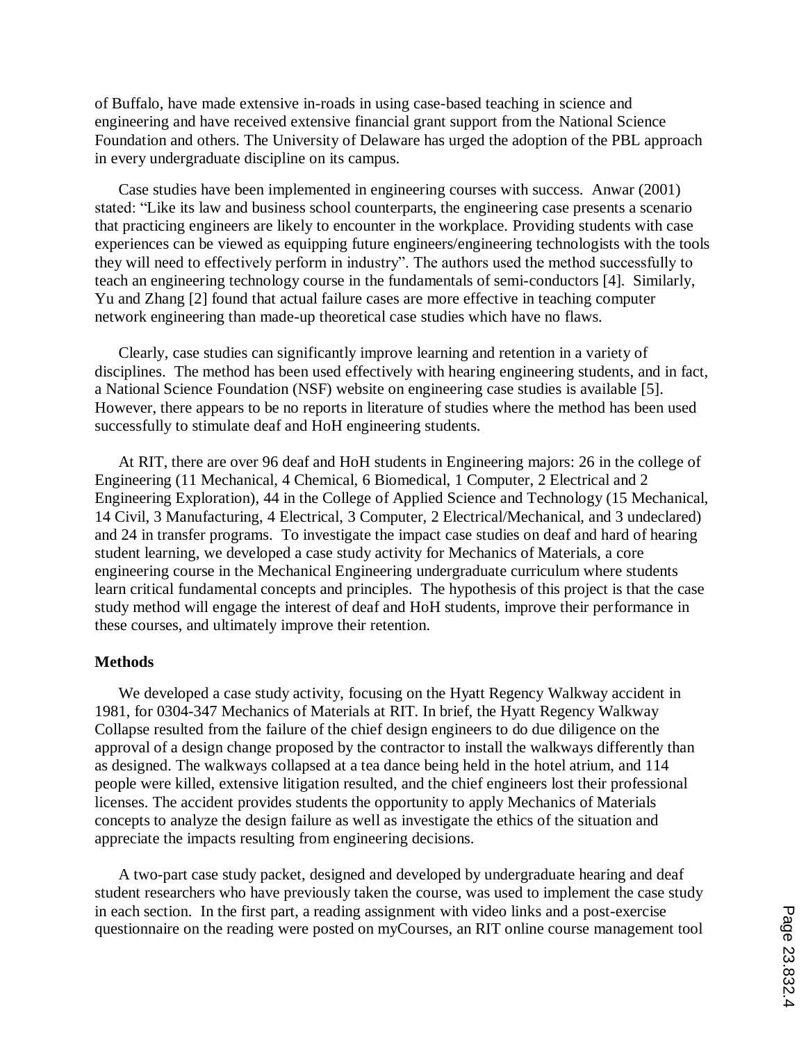of Buffalo, have made extensive in-roads in using case-based teaching in science and engineering and have received extensive financial grant support from the National Science Foundation and others. The University of Delaware has urged the adoption of the PBL approach in every undergraduate discipline on its campus.

Case studies have been implemented in engineering courses with success. Anwar (2001) stated: "Like its law and business school counterparts, the engineering case presents a scenario that practicing engineers are likely to encounter in the workplace. Providing students with case experiences can be viewed as equipping future engineers/engineering technologists with the tools they will need to effectively perform in industry". The authors used the method successfully to teach an engineering technology course in the fundamentals of semi-conductors [4]. Similarly, Yu and Zhang [2] found that actual failure cases are more effective in teaching computer network engineering than made-up theoretical case studies which have no flaws.

Clearly, case studies can significantly improve learning and retention in a variety of disciplines. The method has been used effectively with hearing engineering students, and in fact, a National Science Foundation (NSF) website on engineering case studies is available [5]. However, there appears to be no reports in literature of studies where the method has been used successfully to stimulate deaf and HoH engineering students.

At RIT, there are over 96 deaf and HoH students in Engineering majors: 26 in the college of Engineering (11 Mechanical, 4 Chemical, 6 Biomedical, 1 Computer, 2 Electrical and 2 Engineering Exploration), 44 in the College of Applied Science and Technology (15 Mechanical, 14 Civil, 3 Manufacturing, 4 Electrical, 3 Computer, 2 Electrical/Mechanical, and 3 undeclared) and 24 in transfer programs. To investigate the impact case studies on deaf and hard of hearing student learning, we developed a case study activity for Mechanics of Materials, a core engineering course in the Mechanical Engineering undergraduate curriculum where students learn critical fundamental concepts and principles. The hypothesis of this project is that the case study method will engage the interest of deaf and HoH students, improve their performance in these courses, and ultimately improve their retention.

#### **Methods**

We developed a case study activity, focusing on the Hyatt Regency Walkway accident in 1981, for 0304-347 Mechanics of Materials at RIT. In brief, the Hyatt Regency Walkway Collapse resulted from the failure of the chief design engineers to do due diligence on the approval of a design change proposed by the contractor to install the walkways differently than as designed. The walkways collapsed at a tea dance being held in the hotel atrium, and 114 people were killed, extensive litigation resulted, and the chief engineers lost their professional licenses. The accident provides students the opportunity to apply Mechanics of Materials concepts to analyze the design failure as well as investigate the ethics of the situation and appreciate the impacts resulting from engineering decisions.

A two-part case study packet, designed and developed by undergraduate hearing and deaf student researchers who have previously taken the course, was used to implement the case study in each section. In the first part, a reading assignment with video links and a post-exercise questionnaire on the reading were posted on myCourses, an RIT online course management tool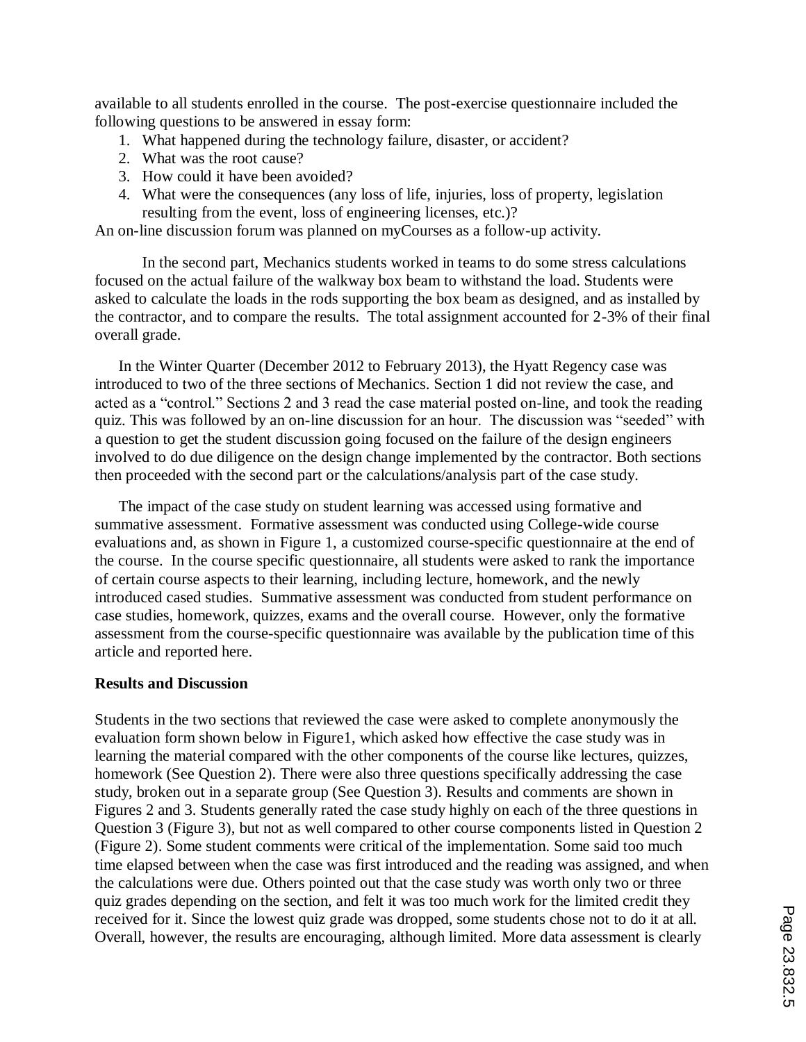available to all students enrolled in the course. The post-exercise questionnaire included the following questions to be answered in essay form:

- 1. What happened during the technology failure, disaster, or accident?
- 2. What was the root cause?
- 3. How could it have been avoided?
- 4. What were the consequences (any loss of life, injuries, loss of property, legislation resulting from the event, loss of engineering licenses, etc.)?

An on-line discussion forum was planned on myCourses as a follow-up activity.

In the second part, Mechanics students worked in teams to do some stress calculations focused on the actual failure of the walkway box beam to withstand the load. Students were asked to calculate the loads in the rods supporting the box beam as designed, and as installed by the contractor, and to compare the results. The total assignment accounted for 2-3% of their final overall grade.

In the Winter Quarter (December 2012 to February 2013), the Hyatt Regency case was introduced to two of the three sections of Mechanics. Section 1 did not review the case, and acted as a "control." Sections 2 and 3 read the case material posted on-line, and took the reading quiz. This was followed by an on-line discussion for an hour. The discussion was "seeded" with a question to get the student discussion going focused on the failure of the design engineers involved to do due diligence on the design change implemented by the contractor. Both sections then proceeded with the second part or the calculations/analysis part of the case study.

The impact of the case study on student learning was accessed using formative and summative assessment. Formative assessment was conducted using College-wide course evaluations and, as shown in Figure 1, a customized course-specific questionnaire at the end of the course. In the course specific questionnaire, all students were asked to rank the importance of certain course aspects to their learning, including lecture, homework, and the newly introduced cased studies. Summative assessment was conducted from student performance on case studies, homework, quizzes, exams and the overall course. However, only the formative assessment from the course-specific questionnaire was available by the publication time of this article and reported here.

## **Results and Discussion**

Students in the two sections that reviewed the case were asked to complete anonymously the evaluation form shown below in Figure1, which asked how effective the case study was in learning the material compared with the other components of the course like lectures, quizzes, homework (See Question 2). There were also three questions specifically addressing the case study, broken out in a separate group (See Question 3). Results and comments are shown in Figures 2 and 3. Students generally rated the case study highly on each of the three questions in Question 3 (Figure 3), but not as well compared to other course components listed in Question 2 (Figure 2). Some student comments were critical of the implementation. Some said too much time elapsed between when the case was first introduced and the reading was assigned, and when the calculations were due. Others pointed out that the case study was worth only two or three quiz grades depending on the section, and felt it was too much work for the limited credit they received for it. Since the lowest quiz grade was dropped, some students chose not to do it at all. Overall, however, the results are encouraging, although limited. More data assessment is clearly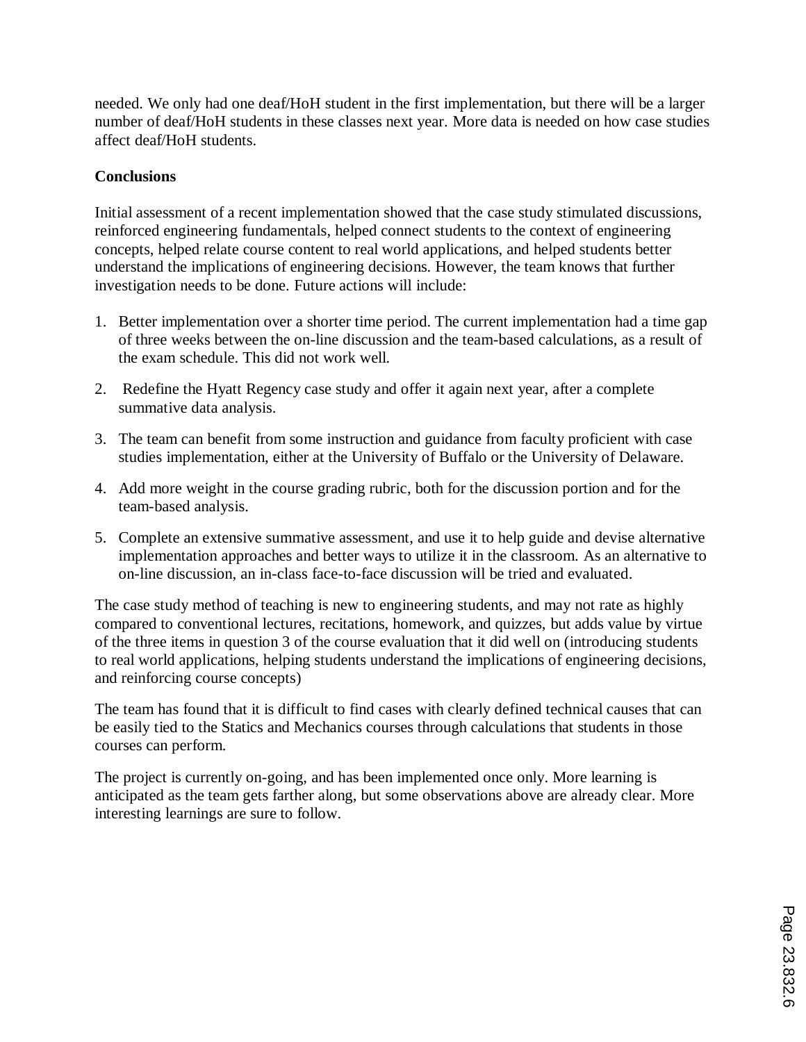needed. We only had one deaf/HoH student in the first implementation, but there will be a larger number of deaf/HoH students in these classes next year. More data is needed on how case studies affect deaf/HoH students.

# **Conclusions**

Initial assessment of a recent implementation showed that the case study stimulated discussions, reinforced engineering fundamentals, helped connect students to the context of engineering concepts, helped relate course content to real world applications, and helped students better understand the implications of engineering decisions. However, the team knows that further investigation needs to be done. Future actions will include:

- 1. Better implementation over a shorter time period. The current implementation had a time gap of three weeks between the on-line discussion and the team-based calculations, as a result of the exam schedule. This did not work well.
- 2. Redefine the Hyatt Regency case study and offer it again next year, after a complete summative data analysis.
- 3. The team can benefit from some instruction and guidance from faculty proficient with case studies implementation, either at the University of Buffalo or the University of Delaware.
- 4. Add more weight in the course grading rubric, both for the discussion portion and for the team-based analysis.
- 5. Complete an extensive summative assessment, and use it to help guide and devise alternative implementation approaches and better ways to utilize it in the classroom. As an alternative to on-line discussion, an in-class face-to-face discussion will be tried and evaluated.

The case study method of teaching is new to engineering students, and may not rate as highly compared to conventional lectures, recitations, homework, and quizzes, but adds value by virtue of the three items in question 3 of the course evaluation that it did well on (introducing students to real world applications, helping students understand the implications of engineering decisions, and reinforcing course concepts)

The team has found that it is difficult to find cases with clearly defined technical causes that can be easily tied to the Statics and Mechanics courses through calculations that students in those courses can perform.

The project is currently on-going, and has been implemented once only. More learning is anticipated as the team gets farther along, but some observations above are already clear. More interesting learnings are sure to follow.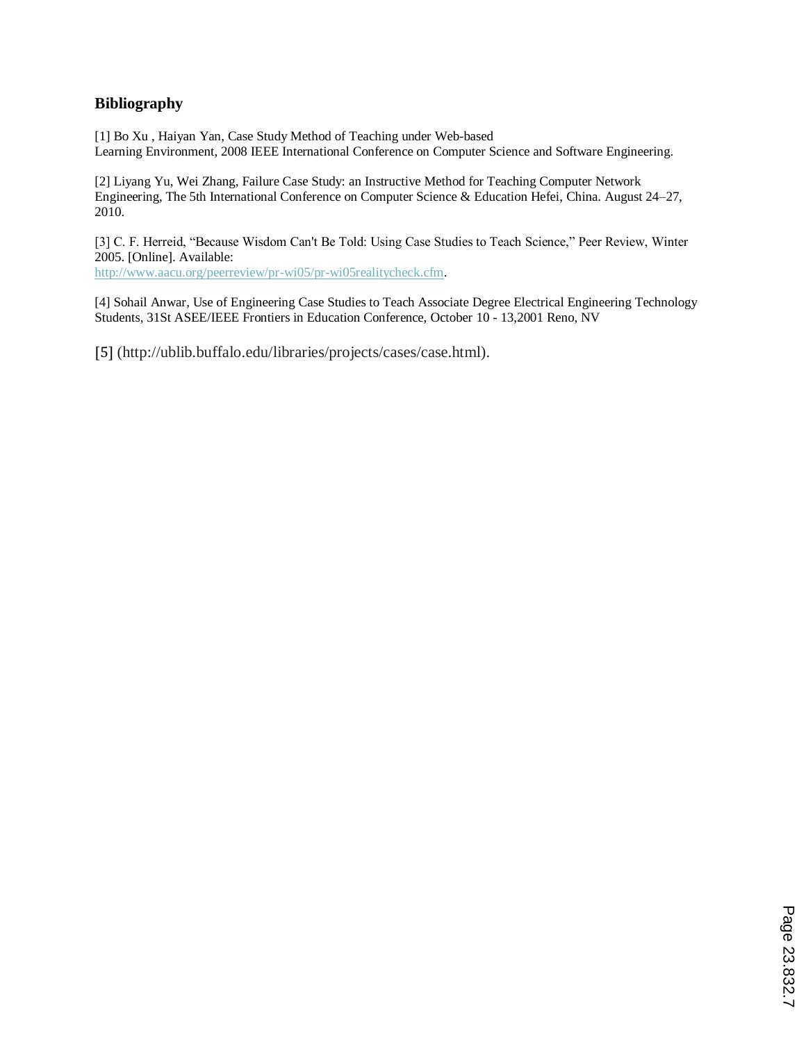# **Bibliography**

[1] Bo Xu , Haiyan Yan, Case Study Method of Teaching under Web-based Learning Environment, 2008 IEEE International Conference on Computer Science and Software Engineering.

[2] Liyang Yu, Wei Zhang, Failure Case Study: an Instructive Method for Teaching Computer Network Engineering, The 5th International Conference on Computer Science & Education Hefei, China. August 24–27, 2010.

[3] C. F. Herreid, "Because Wisdom Can't Be Told: Using Case Studies to Teach Science," Peer Review, Winter 2005. [Online]. Available:

http://www.aacu.org/peerreview/pr-wi05/pr-wi05realitycheck.cfm.

[4] Sohail Anwar*,* Use of Engineering Case Studies to Teach Associate Degree Electrical Engineering Technology Students, 31St ASEE/IEEE Frontiers in Education Conference, October 10 - 13,2001 Reno, NV

[5] (http://ublib.buffalo.edu/libraries/projects/cases/case.html).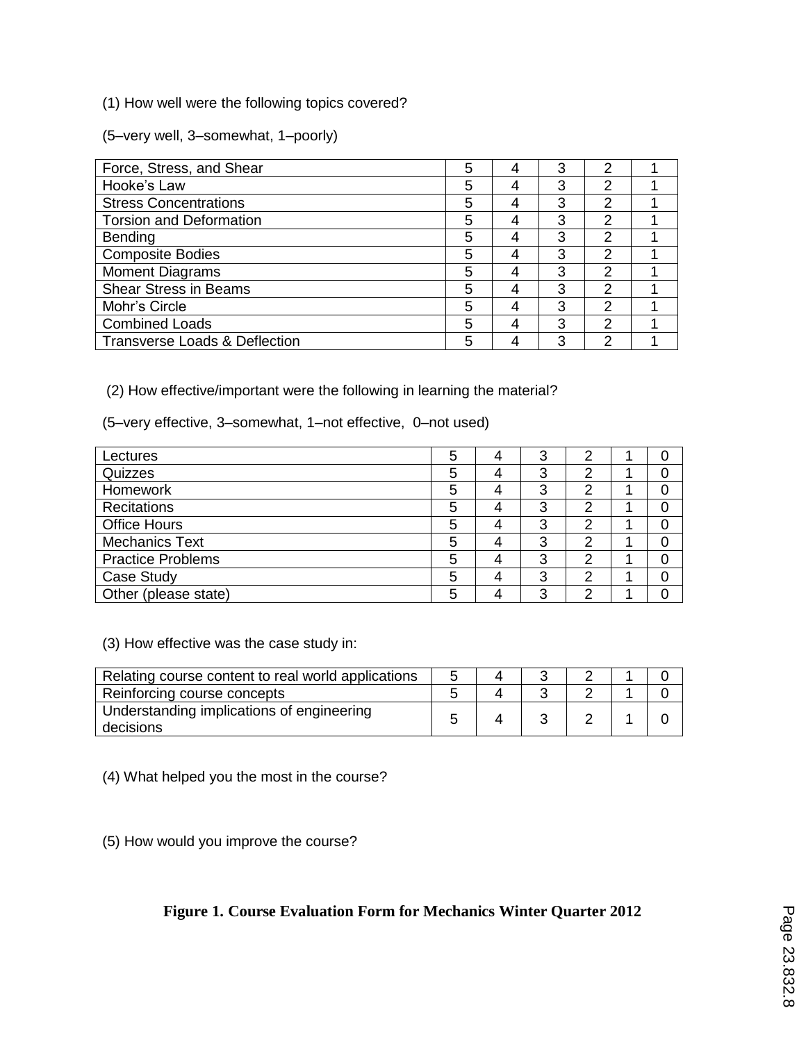(1) How well were the following topics covered?

(5–very well, 3–somewhat, 1–poorly)

| Force, Stress, and Shear                 | 5 |   | 3 | 2              |  |
|------------------------------------------|---|---|---|----------------|--|
| Hooke's Law                              | 5 | 4 | 3 | 2              |  |
| <b>Stress Concentrations</b>             | 5 | 4 | 3 | 2              |  |
| <b>Torsion and Deformation</b>           | 5 | 4 | 3 | $\mathcal{P}$  |  |
| Bending                                  | 5 | 4 | 3 | 2              |  |
| <b>Composite Bodies</b>                  | 5 | 4 | 3 | $\overline{2}$ |  |
| <b>Moment Diagrams</b>                   | 5 | 4 | 3 | 2              |  |
| <b>Shear Stress in Beams</b>             | 5 | 4 | 3 | 2              |  |
| Mohr's Circle                            | 5 |   | 3 | 2              |  |
| <b>Combined Loads</b>                    | 5 | 4 | 3 | 2              |  |
| <b>Transverse Loads &amp; Deflection</b> | 5 |   | 3 | 2              |  |

(2) How effective/important were the following in learning the material?

(5–very effective, 3–somewhat, 1–not effective, 0–not used)

| Lectures                 | 5 | 3 |   |  |
|--------------------------|---|---|---|--|
| Quizzes                  | 5 | 3 |   |  |
| Homework                 | 5 | 3 | ◠ |  |
| Recitations              | 5 | 3 |   |  |
| <b>Office Hours</b>      | 5 | 3 |   |  |
| <b>Mechanics Text</b>    | 5 | 3 | n |  |
| <b>Practice Problems</b> | 5 | 3 | n |  |
| Case Study               | 5 | 3 | n |  |
| Other (please state)     | 5 | 3 |   |  |

(3) How effective was the case study in:

| Relating course content to real world applications     | ∽ |  |  |  |
|--------------------------------------------------------|---|--|--|--|
| Reinforcing course concepts                            |   |  |  |  |
| Understanding implications of engineering<br>decisions |   |  |  |  |

(4) What helped you the most in the course?

(5) How would you improve the course?

# **Figure 1. Course Evaluation Form for Mechanics Winter Quarter 2012**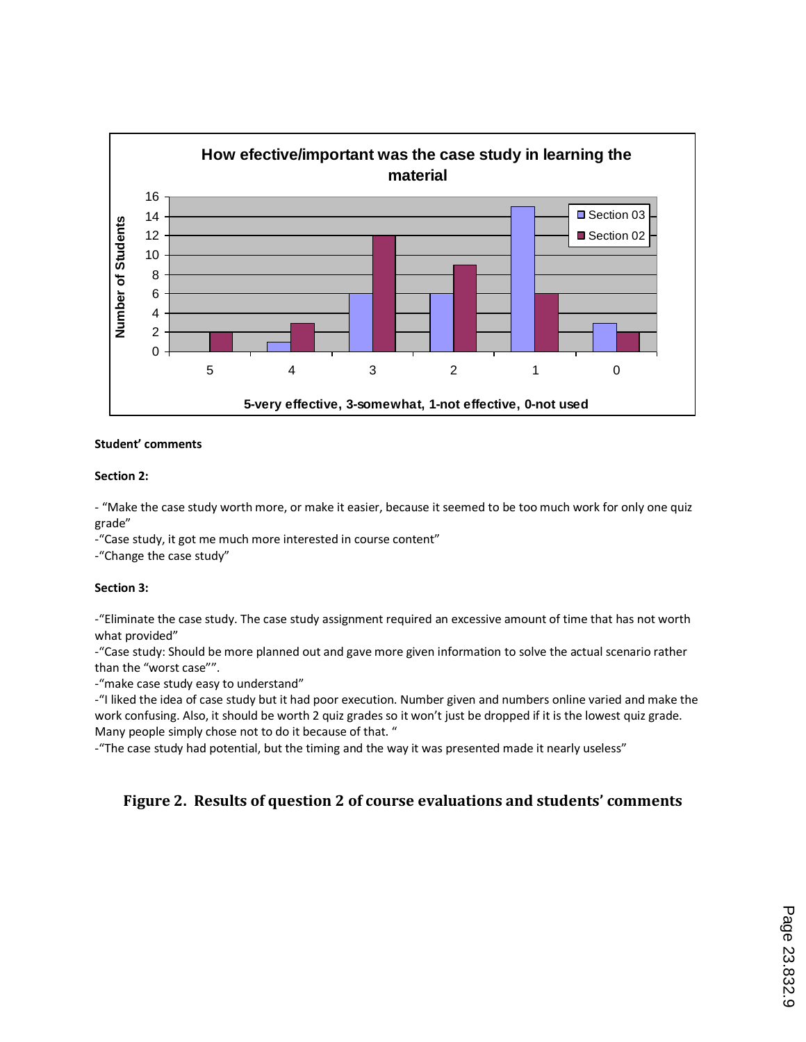

#### **Student' comments**

#### **Section 2:**

- "Make the case study worth more, or make it easier, because it seemed to be too much work for only one quiz grade"

-"Case study, it got me much more interested in course content"

-"Change the case study"

#### **Section 3:**

-"Eliminate the case study. The case study assignment required an excessive amount of time that has not worth what provided"

-"Case study: Should be more planned out and gave more given information to solve the actual scenario rather than the "worst case"".

-"make case study easy to understand"

-"I liked the idea of case study but it had poor execution. Number given and numbers online varied and make the work confusing. Also, it should be worth 2 quiz grades so it won't just be dropped if it is the lowest quiz grade. Many people simply chose not to do it because of that. "

-"The case study had potential, but the timing and the way it was presented made it nearly useless"

# **Figure 2. Results of question 2 of course evaluations and students' comments**